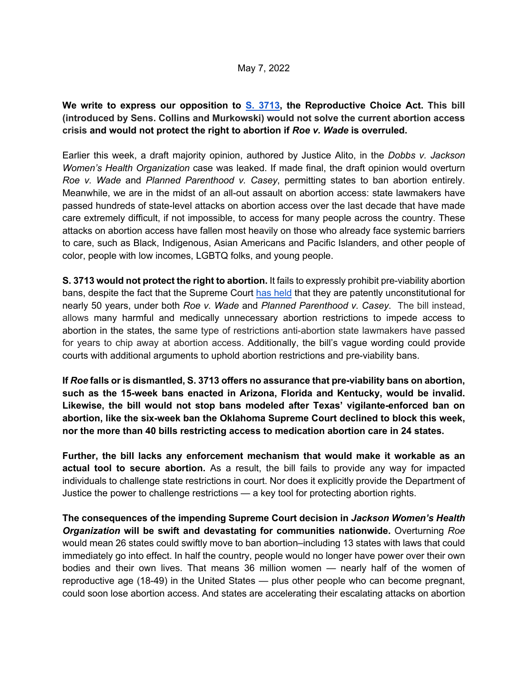**We write to express our opposition to S. 3713, the Reproductive Choice Act. This bill (introduced by Sens. Collins and Murkowski) would not solve the current abortion access crisis and would not protect the right to abortion if** *Roe v. Wade* **is overruled.** 

Earlier this week, a draft majority opinion, authored by Justice Alito, in the *Dobbs v. Jackson Women's Health Organization* case was leaked. If made final, the draft opinion would overturn *Roe v. Wade* and *Planned Parenthood v. Casey*, permitting states to ban abortion entirely. Meanwhile, we are in the midst of an all-out assault on abortion access: state lawmakers have passed hundreds of state-level attacks on abortion access over the last decade that have made care extremely difficult, if not impossible, to access for many people across the country. These attacks on abortion access have fallen most heavily on those who already face systemic barriers to care, such as Black, Indigenous, Asian Americans and Pacific Islanders, and other people of color, people with low incomes, LGBTQ folks, and young people.

**S. 3713 would not protect the right to abortion.** It fails to expressly prohibit pre-viability abortion bans, despite the fact that the Supreme Court has held that they are patently unconstitutional for nearly 50 years, under both *Roe v. Wade* and *Planned Parenthood v. Casey*. The bill instead, allows many harmful and medically unnecessary abortion restrictions to impede access to abortion in the states, the same type of restrictions anti-abortion state lawmakers have passed for years to chip away at abortion access. Additionally, the bill's vague wording could provide courts with additional arguments to uphold abortion restrictions and pre-viability bans.

**If** *Roe* **falls or is dismantled, S. 3713 offers no assurance that pre-viability bans on abortion, such as the 15-week bans enacted in Arizona, Florida and Kentucky, would be invalid. Likewise, the bill would not stop bans modeled after Texas' vigilante-enforced ban on abortion, like the six-week ban the Oklahoma Supreme Court declined to block this week, nor the more than 40 bills restricting access to medication abortion care in 24 states.** 

**Further, the bill lacks any enforcement mechanism that would make it workable as an actual tool to secure abortion.** As a result, the bill fails to provide any way for impacted individuals to challenge state restrictions in court. Nor does it explicitly provide the Department of Justice the power to challenge restrictions — a key tool for protecting abortion rights.

**The consequences of the impending Supreme Court decision in** *Jackson Women's Health Organization* **will be swift and devastating for communities nationwide.** Overturning *Roe* would mean 26 states could swiftly move to ban abortion–including 13 states with laws that could immediately go into effect. In half the country, people would no longer have power over their own bodies and their own lives. That means 36 million women — nearly half of the women of reproductive age (18-49) in the United States — plus other people who can become pregnant, could soon lose abortion access. And states are accelerating their escalating attacks on abortion